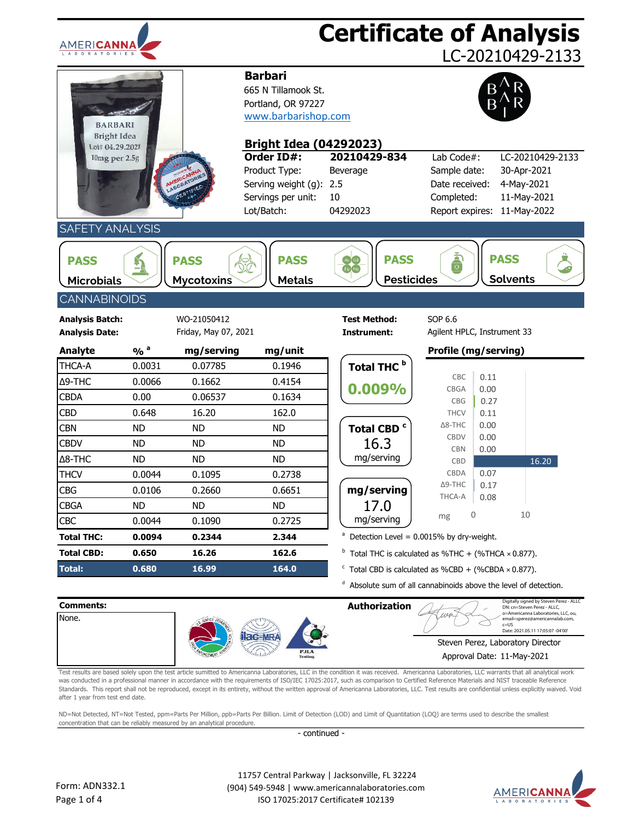| <b>AMERICANN</b>                                        |                            |                                     |                                                                                                                     |                                                                  | <b>Certificate of Analysis</b>                                                                                                                               |  |
|---------------------------------------------------------|----------------------------|-------------------------------------|---------------------------------------------------------------------------------------------------------------------|------------------------------------------------------------------|--------------------------------------------------------------------------------------------------------------------------------------------------------------|--|
|                                                         |                            |                                     |                                                                                                                     |                                                                  | LC-20210429-2133                                                                                                                                             |  |
| <b>BARBARI</b><br><b>Bright Idea</b><br>Lot# 04.29.2021 |                            |                                     | <b>Barbari</b><br>665 N Tillamook St.<br>Portland, OR 97227<br>www.barbarishop.com<br><b>Bright Idea (04292023)</b> |                                                                  |                                                                                                                                                              |  |
| 10mg per 2.5g                                           |                            |                                     | Order ID#:<br>Product Type:<br>Serving weight (g):<br>Servings per unit:<br>Lot/Batch:                              | 20210429-834<br>Beverage<br>2.5<br>10<br>04292023                | Lab Code#:<br>LC-20210429-2133<br>Sample date:<br>30-Apr-2021<br>Date received:<br>4-May-2021<br>11-May-2021<br>Completed:<br>11-May-2022<br>Report expires: |  |
| <b>SAFETY ANALYSIS</b>                                  |                            |                                     |                                                                                                                     |                                                                  |                                                                                                                                                              |  |
| <b>PASS</b><br><b>Microbials</b>                        | Þ                          | <b>PASS</b><br><b>Mycotoxins</b>    | <b>PASS</b><br><b>Metals</b>                                                                                        | <b>PASS</b><br>e∫Hg<br><b>Pesticides</b>                         | $\frac{1}{\Omega}$<br><b>PASS</b><br><b>Solvents</b>                                                                                                         |  |
| <b>CANNABINOIDS</b>                                     |                            |                                     |                                                                                                                     |                                                                  |                                                                                                                                                              |  |
| <b>Analysis Batch:</b><br><b>Analysis Date:</b>         |                            | WO-21050412<br>Friday, May 07, 2021 |                                                                                                                     | <b>Test Method:</b><br>Instrument:                               | SOP 6.6<br>Agilent HPLC, Instrument 33                                                                                                                       |  |
| Analyte                                                 | $\frac{9}{6}$ <sup>a</sup> | mg/serving                          | mg/unit                                                                                                             |                                                                  | Profile (mg/serving)                                                                                                                                         |  |
| THCA-A                                                  | 0.0031                     | 0.07785                             | 0.1946                                                                                                              | Total THC <sup>b</sup>                                           |                                                                                                                                                              |  |
| $\Delta$ 9-THC                                          | 0.0066                     | 0.1662                              | 0.4154                                                                                                              | 0.009%                                                           | CBC<br>0.11<br>0.00<br>CBGA                                                                                                                                  |  |
| <b>CBDA</b>                                             | 0.00                       | 0.06537                             | 0.1634                                                                                                              |                                                                  | 0.27<br>CBG                                                                                                                                                  |  |
| <b>CBD</b>                                              | 0.648                      | 16.20                               | 162.0                                                                                                               |                                                                  | <b>THCV</b><br>0.11                                                                                                                                          |  |
| <b>CBN</b>                                              | <b>ND</b>                  | <b>ND</b>                           | ND.                                                                                                                 | Total CBD <sup>c</sup>                                           | $\Delta$ 8-THC<br>0.00<br><b>CBDV</b><br>0.00                                                                                                                |  |
| <b>CBDV</b>                                             | <b>ND</b>                  | <b>ND</b>                           | ND.                                                                                                                 | 16.3                                                             | <b>CBN</b><br>0.00                                                                                                                                           |  |
| Δ8-THC                                                  | <b>ND</b>                  | <b>ND</b>                           | <b>ND</b>                                                                                                           | mg/serving                                                       | 16.20<br><b>CBD</b>                                                                                                                                          |  |
| <b>THCV</b>                                             | 0.0044                     | 0.1095                              | 0.2738                                                                                                              |                                                                  | CBDA<br>0.07<br>$\Delta$ 9-THC<br>0.17                                                                                                                       |  |
| <b>CBG</b>                                              | 0.0106                     | 0.2660                              | 0.6651                                                                                                              | mg/serving                                                       | THCA-A<br>0.08                                                                                                                                               |  |
| <b>CBGA</b>                                             | <b>ND</b>                  | <b>ND</b>                           | <b>ND</b>                                                                                                           | 17.0                                                             | 10<br>0<br>mg                                                                                                                                                |  |
| <b>CBC</b>                                              | 0.0044                     | 0.1090                              | 0.2725                                                                                                              | mg/serving                                                       |                                                                                                                                                              |  |
| <b>Total THC:</b>                                       | 0.0094                     | 0.2344                              | 2.344                                                                                                               | a                                                                | Detection Level = 0.0015% by dry-weight.                                                                                                                     |  |
| <b>Total CBD:</b>                                       | 0.650                      | 16.26                               | 162.6                                                                                                               |                                                                  | $b$ Total THC is calculated as %THC + (%THCA $\times$ 0.877).                                                                                                |  |
| <b>Total:</b><br>0.680<br>16.99<br>164.0                |                            |                                     |                                                                                                                     | $\textdegree$ Total CBD is calculated as %CBD + (%CBDA × 0.877). |                                                                                                                                                              |  |
|                                                         |                            |                                     |                                                                                                                     |                                                                  | <sup>d</sup> Absolute sum of all cannabinoids above the level of detection.                                                                                  |  |



Test results are based solely upon the test article sumitted to Americanna Laboratories, LLC in the condition it was received. Americanna Laboratories, LLC warrants that all analytical work was conducted in a professional manner in accordance with the requirements of ISO/IEC 17025:2017, such as comparison to Certified Reference Materials and NIST traceable Reference Standards. This report shall not be reproduced, except in its entirety, without the written approval of Americanna Laboratories, LLC. Test results are confidential unless explicitly waived. Void after 1 year from test end date.

ND=Not Detected, NT=Not Tested, ppm=Parts Per Million, ppb=Parts Per Billion. Limit of Detection (LOD) and Limit of Quantitation (LOQ) are terms used to describe the smallest concentration that can be reliably measured by an analytical procedure.

- continued -

 11757 Central Parkway | Jacksonville, FL 32224 (904) 549-5948 | www.americannalaboratories.com

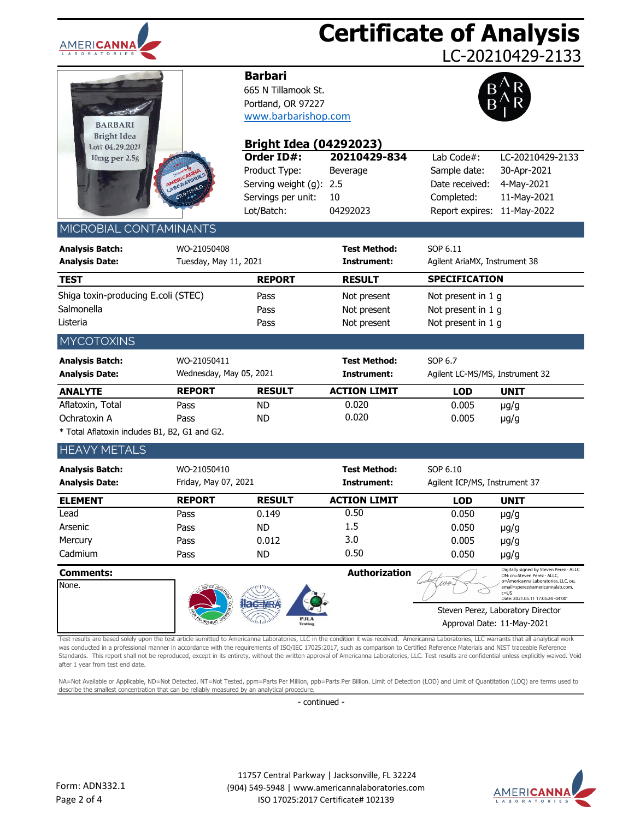

## **Certificate of Analysis**

LC-20210429-2133

| <b>BARBARI</b><br><b>Bright Idea</b> |                                         |
|--------------------------------------|-----------------------------------------|
| Lot# 04.29.2021                      |                                         |
| 10mg per 2.5g                        | AMERICANNA<br>LABORATORIES<br>CERTIFIED |

### **Barbari**

665 N Tillamook St. Portland, OR 97227 [www.barbarishop.com](http://www.teatagsandthings.com/)



| Bright Idea<br>Lot# 04.29.2021                                                                                                                                                                                                                                                                                                                                                                                                                                                                                                                                                                                                |                         | <b>Bright Idea (04292023)</b> |                                                 |                                 |                                                                        |
|-------------------------------------------------------------------------------------------------------------------------------------------------------------------------------------------------------------------------------------------------------------------------------------------------------------------------------------------------------------------------------------------------------------------------------------------------------------------------------------------------------------------------------------------------------------------------------------------------------------------------------|-------------------------|-------------------------------|-------------------------------------------------|---------------------------------|------------------------------------------------------------------------|
| 10mg per 2.5g                                                                                                                                                                                                                                                                                                                                                                                                                                                                                                                                                                                                                 |                         | Order ID#:                    | 20210429-834                                    | Lab Code#:                      | LC-20210429-2133                                                       |
|                                                                                                                                                                                                                                                                                                                                                                                                                                                                                                                                                                                                                               |                         | Product Type:                 | Beverage                                        | Sample date:                    | 30-Apr-2021                                                            |
|                                                                                                                                                                                                                                                                                                                                                                                                                                                                                                                                                                                                                               | AMERICATORIES           | Serving weight (g): 2.5       |                                                 | Date received:                  | 4-May-2021                                                             |
|                                                                                                                                                                                                                                                                                                                                                                                                                                                                                                                                                                                                                               |                         | Servings per unit:            | 10                                              | Completed:                      | 11-May-2021                                                            |
|                                                                                                                                                                                                                                                                                                                                                                                                                                                                                                                                                                                                                               |                         | Lot/Batch:                    | 04292023                                        | Report expires:                 | 11-May-2022                                                            |
| MICROBIAL CONTAMINANTS                                                                                                                                                                                                                                                                                                                                                                                                                                                                                                                                                                                                        |                         |                               |                                                 |                                 |                                                                        |
| <b>Analysis Batch:</b>                                                                                                                                                                                                                                                                                                                                                                                                                                                                                                                                                                                                        | WO-21050408             |                               | <b>Test Method:</b>                             | SOP 6.11                        |                                                                        |
| <b>Analysis Date:</b>                                                                                                                                                                                                                                                                                                                                                                                                                                                                                                                                                                                                         | Tuesday, May 11, 2021   |                               | Instrument:                                     | Agilent AriaMX, Instrument 38   |                                                                        |
| <b>TEST</b>                                                                                                                                                                                                                                                                                                                                                                                                                                                                                                                                                                                                                   |                         |                               | <b>RESULT</b>                                   | <b>SPECIFICATION</b>            |                                                                        |
|                                                                                                                                                                                                                                                                                                                                                                                                                                                                                                                                                                                                                               |                         | <b>REPORT</b>                 |                                                 |                                 |                                                                        |
| Shiga toxin-producing E.coli (STEC)                                                                                                                                                                                                                                                                                                                                                                                                                                                                                                                                                                                           |                         | Pass                          | Not present                                     | Not present in 1 g              |                                                                        |
| Salmonella                                                                                                                                                                                                                                                                                                                                                                                                                                                                                                                                                                                                                    |                         | Pass                          | Not present                                     | Not present in 1 g              |                                                                        |
| Listeria                                                                                                                                                                                                                                                                                                                                                                                                                                                                                                                                                                                                                      |                         | Pass                          | Not present                                     | Not present in 1 g              |                                                                        |
| <b>MYCOTOXINS</b>                                                                                                                                                                                                                                                                                                                                                                                                                                                                                                                                                                                                             |                         |                               |                                                 |                                 |                                                                        |
| <b>Analysis Batch:</b>                                                                                                                                                                                                                                                                                                                                                                                                                                                                                                                                                                                                        | WO-21050411             |                               | <b>Test Method:</b>                             | SOP 6.7                         |                                                                        |
| <b>Analysis Date:</b>                                                                                                                                                                                                                                                                                                                                                                                                                                                                                                                                                                                                         | Wednesday, May 05, 2021 |                               | Instrument:                                     | Agilent LC-MS/MS, Instrument 32 |                                                                        |
| <b>ANALYTE</b>                                                                                                                                                                                                                                                                                                                                                                                                                                                                                                                                                                                                                | <b>REPORT</b>           | <b>RESULT</b>                 | <b>ACTION LIMIT</b>                             | <b>LOD</b>                      | <b>UNIT</b>                                                            |
| Aflatoxin, Total                                                                                                                                                                                                                                                                                                                                                                                                                                                                                                                                                                                                              | Pass                    | <b>ND</b>                     | 0.020                                           | 0.005                           | $\mu$ g/g                                                              |
| Ochratoxin A                                                                                                                                                                                                                                                                                                                                                                                                                                                                                                                                                                                                                  | Pass                    | <b>ND</b>                     | 0.020                                           | 0.005                           | $\mu$ g/g                                                              |
| * Total Aflatoxin includes B1, B2, G1 and G2.                                                                                                                                                                                                                                                                                                                                                                                                                                                                                                                                                                                 |                         |                               |                                                 |                                 |                                                                        |
| <b>HEAVY METALS</b>                                                                                                                                                                                                                                                                                                                                                                                                                                                                                                                                                                                                           |                         |                               |                                                 |                                 |                                                                        |
| <b>Analysis Batch:</b>                                                                                                                                                                                                                                                                                                                                                                                                                                                                                                                                                                                                        | WO-21050410             |                               | <b>Test Method:</b>                             | SOP 6.10                        |                                                                        |
| <b>Analysis Date:</b>                                                                                                                                                                                                                                                                                                                                                                                                                                                                                                                                                                                                         | Friday, May 07, 2021    |                               | Instrument:                                     | Agilent ICP/MS, Instrument 37   |                                                                        |
| <b>ELEMENT</b>                                                                                                                                                                                                                                                                                                                                                                                                                                                                                                                                                                                                                | <b>REPORT</b>           | <b>RESULT</b>                 | <b>ACTION LIMIT</b>                             | <b>LOD</b>                      | <b>UNIT</b>                                                            |
| Lead                                                                                                                                                                                                                                                                                                                                                                                                                                                                                                                                                                                                                          | Pass                    | 0.149                         | 0.50                                            | 0.050                           | $\mu$ g/g                                                              |
| Arsenic                                                                                                                                                                                                                                                                                                                                                                                                                                                                                                                                                                                                                       | Pass                    | <b>ND</b>                     | 1.5                                             | 0.050                           | $\mu$ g/g                                                              |
| Mercury                                                                                                                                                                                                                                                                                                                                                                                                                                                                                                                                                                                                                       | Pass                    | 0.012                         | 3.0                                             | 0.005                           | $\mu$ g/g                                                              |
| Cadmium                                                                                                                                                                                                                                                                                                                                                                                                                                                                                                                                                                                                                       | Pass                    | <b>ND</b>                     | 0.50                                            | 0.050                           | $\mu$ g/g                                                              |
| <b>Comments:</b>                                                                                                                                                                                                                                                                                                                                                                                                                                                                                                                                                                                                              |                         |                               | <b>Authorization</b>                            |                                 | Digitally signed by Steven Perez - ALLC<br>DN: cn=Steven Perez - ALLC, |
| None.                                                                                                                                                                                                                                                                                                                                                                                                                                                                                                                                                                                                                         |                         |                               |                                                 | 1184                            | o=Americanna Laboratories, LLC, ou,<br>email=sperez@americannalab.com, |
|                                                                                                                                                                                                                                                                                                                                                                                                                                                                                                                                                                                                                               |                         |                               |                                                 |                                 | $c = US$<br>Date: 2021<br>05.11.17:05:24 -04'00                        |
|                                                                                                                                                                                                                                                                                                                                                                                                                                                                                                                                                                                                                               |                         | ac=MRA                        |                                                 |                                 | Steven Perez, Laboratory Director                                      |
|                                                                                                                                                                                                                                                                                                                                                                                                                                                                                                                                                                                                                               |                         |                               |                                                 | Approval Date: 11-May-2021      |                                                                        |
| Test results are based solely upon the test article sumitted to Americanna Laboratories, LLC in the condition it was received. Americanna Laboratories, LLC warrants that all analytical work<br>was conducted in a professional manner in accordance with the requirements of ISO/IEC 17025:2017, such as comparison to Certified Reference Materials and NIST traceable Reference<br>Standards. This report shall not be reproduced, except in its entirety, without the written approval of Americanna Laboratories, LLC. Test results are confidential unless explicitly waived. Void<br>after 1 year from test end date. |                         |                               |                                                 |                                 |                                                                        |
| NA=Not Available or Applicable, ND=Not Detected, NT=Not Tested, ppm=Parts Per Million, ppb=Parts Per Billion. Limit of Detection (LOD) and Limit of Quantitation (LOQ) are terms used to<br>describe the smallest concentration that can be reliably measured by an analytical procedure.                                                                                                                                                                                                                                                                                                                                     |                         |                               |                                                 |                                 |                                                                        |
|                                                                                                                                                                                                                                                                                                                                                                                                                                                                                                                                                                                                                               |                         | - continued -                 |                                                 |                                 |                                                                        |
|                                                                                                                                                                                                                                                                                                                                                                                                                                                                                                                                                                                                                               |                         |                               |                                                 |                                 |                                                                        |
|                                                                                                                                                                                                                                                                                                                                                                                                                                                                                                                                                                                                                               |                         |                               | 11757 Central Parkway   Jacksonville, FL 32224  |                                 |                                                                        |
| Form: ADN332.1                                                                                                                                                                                                                                                                                                                                                                                                                                                                                                                                                                                                                |                         |                               | (904) 549-5948   www.americannalaboratories.com |                                 | AMERI <b>CA</b>                                                        |
| Page 2 of 4                                                                                                                                                                                                                                                                                                                                                                                                                                                                                                                                                                                                                   |                         |                               | ISO 17025:2017 Certificate# 102139              |                                 | <b>LABORATOR</b>                                                       |

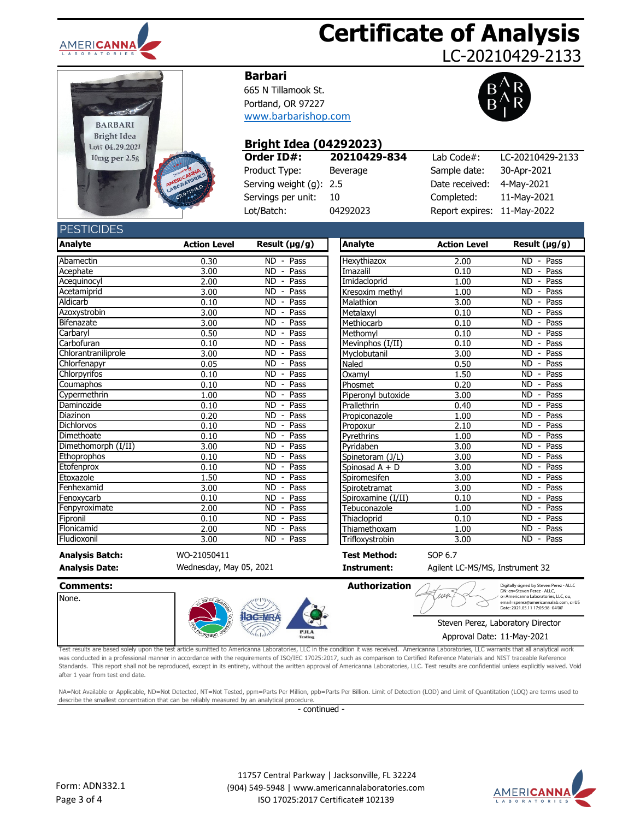

# **Certificate of Analysis**

LC-20210429-2133



#### **Barbari**

665 N Tillamook St. Portland, OR 97227 [www.barbarishop.com](http://www.teatagsandthings.com/)



## **Bright Idea (04292023)**

| Order ID#:              | 20210429-834 | Lab Code $#$ :              | LC-20210429-2133 |
|-------------------------|--------------|-----------------------------|------------------|
| Product Type:           | Beverage     | Sample date:                | 30-Apr-2021      |
| Serving weight (g): 2.5 |              | Date received:              | 4-Mav-2021       |
| Servings per unit:      | -10          | Completed:                  | 11-May-2021      |
| Lot/Batch:              | 04292023     | Report expires: 11-May-2022 |                  |

#### **DECTICIDES**

| LUINDLU                |                     |                                               |                     |                     |                                               |
|------------------------|---------------------|-----------------------------------------------|---------------------|---------------------|-----------------------------------------------|
| <b>Analyte</b>         | <b>Action Level</b> | Result (µg/g)                                 | <b>Analyte</b>      | <b>Action Level</b> | Result (µg/g)                                 |
| Abamectin              | 0.30                | Pass<br>ND.<br>$\overline{\phantom{a}}$       | Hexythiazox         | 2.00                | $\overline{\text{ND}}$ - Pass                 |
| Acephate               | 3.00                | Pass<br><b>ND</b><br>$\blacksquare$           | Imazalil            | 0.10                | <b>ND</b><br>Pass<br>$\overline{\phantom{a}}$ |
| Acequinocyl            | 2.00                | Pass<br>ND.<br>$\blacksquare$                 | Imidacloprid        | 1.00                | <b>ND</b><br>Pass                             |
| Acetamiprid            | 3.00                | <b>ND</b><br>Pass<br>$\sim$                   | Kresoxim methyl     | 1.00                | <b>ND</b><br>Pass<br>$\blacksquare$           |
| Aldicarb               | 0.10                | <b>ND</b><br>Pass<br>$\overline{\phantom{a}}$ | Malathion           | 3.00                | <b>ND</b><br>Pass<br>$\blacksquare$           |
| Azoxystrobin           | 3.00                | Pass<br><b>ND</b><br>$\overline{\phantom{a}}$ | Metalaxyl           | 0.10                | Pass<br><b>ND</b><br>$\overline{\phantom{a}}$ |
| <b>Bifenazate</b>      | 3.00                | <b>ND</b><br>Pass<br>$\overline{\phantom{a}}$ | Methiocarb          | 0.10                | <b>ND</b><br>Pass<br>$\overline{\phantom{a}}$ |
| Carbaryl               | 0.50                | <b>ND</b><br>Pass<br>$\blacksquare$           | Methomyl            | 0.10                | <b>ND</b><br>Pass<br>$\overline{\phantom{a}}$ |
| Carbofuran             | 0.10                | Pass<br>ND.<br>$\blacksquare$                 | Mevinphos (I/II)    | 0.10                | <b>ND</b><br>Pass<br>$\overline{\phantom{a}}$ |
| Chlorantraniliprole    | 3.00                | <b>ND</b><br>Pass                             | Myclobutanil        | 3.00                | Pass<br><b>ND</b>                             |
| Chlorfenapyr           | 0.05                | <b>ND</b><br>Pass<br>$\blacksquare$           | Naled               | 0.50                | Pass<br><b>ND</b><br>$\overline{\phantom{a}}$ |
| Chlorpyrifos           | 0.10                | <b>ND</b><br>Pass<br>$\overline{\phantom{a}}$ | Oxamyl              | 1.50                | <b>ND</b><br>Pass<br>$\overline{\phantom{a}}$ |
| Coumaphos              | 0.10                | ND<br>Pass<br>$\overline{\phantom{a}}$        | Phosmet             | 0.20                | ND<br>Pass<br>$\overline{\phantom{a}}$        |
| Cypermethrin           | 1.00                | <b>ND</b><br>Pass<br>$\overline{\phantom{a}}$ | Piperonyl butoxide  | 3.00                | <b>ND</b><br>Pass<br>$\overline{\phantom{a}}$ |
| Daminozide             | 0.10                | <b>ND</b><br>Pass<br>$\overline{\phantom{a}}$ | Prallethrin         | 0.40                | <b>ND</b><br>Pass                             |
| Diazinon               | 0.20                | <b>ND</b><br>Pass<br>$\overline{\phantom{a}}$ | Propiconazole       | 1.00                | Pass<br><b>ND</b><br>$\blacksquare$           |
| <b>Dichlorvos</b>      | 0.10                | <b>ND</b><br>Pass<br>$\overline{\phantom{a}}$ | Propoxur            | 2.10                | <b>ND</b><br>Pass<br>$\overline{\phantom{a}}$ |
| Dimethoate             | 0.10                | Pass<br><b>ND</b><br>$\blacksquare$           | Pvrethrins          | 1.00                | <b>ND</b><br>Pass<br>$\overline{\phantom{a}}$ |
| Dimethomorph (I/II)    | 3.00                | <b>ND</b><br>Pass<br>$\overline{\phantom{a}}$ | Pyridaben           | 3.00                | <b>ND</b><br>Pass<br>$\blacksquare$           |
| Ethoprophos            | 0.10                | Pass<br>ND<br>$\overline{\phantom{a}}$        | Spinetoram (J/L)    | 3.00                | ND<br>Pass<br>$\blacksquare$                  |
| Etofenprox             | 0.10                | Pass<br>ND.<br>$\blacksquare$                 | Spinosad $A + D$    | 3.00                | Pass<br><b>ND</b>                             |
| Etoxazole              | 1.50                | <b>ND</b><br>Pass<br>$\overline{\phantom{a}}$ | Spiromesifen        | 3.00                | $\overline{ND}$<br>Pass<br>$\blacksquare$     |
| Fenhexamid             | 3.00                | Pass<br><b>ND</b><br>$\overline{\phantom{a}}$ | Spirotetramat       | 3.00                | <b>ND</b><br>Pass<br>$\blacksquare$           |
| Fenoxycarb             | 0.10                | <b>ND</b><br>Pass<br>$\overline{\phantom{a}}$ | Spiroxamine (I/II)  | 0.10                | <b>ND</b><br>Pass<br>$\overline{\phantom{a}}$ |
| Fenpyroximate          | 2.00                | <b>ND</b><br>Pass<br>$\blacksquare$           | Tebuconazole        | 1.00                | <b>ND</b><br>Pass<br>$\overline{\phantom{a}}$ |
| Fipronil               | 0.10                | Pass<br><b>ND</b><br>$\overline{\phantom{a}}$ | Thiacloprid         | 0.10                | Pass<br><b>ND</b>                             |
| Flonicamid             | 2.00                | Pass<br><b>ND</b><br>$\overline{\phantom{a}}$ | Thiamethoxam        | 1.00                | <b>ND</b><br>Pass<br>$\blacksquare$           |
| Fludioxonil            | 3.00                | <b>ND</b><br>Pass<br>$\blacksquare$           | Trifloxystrobin     | 3.00                | <b>ND</b><br>Pass<br>$\overline{\phantom{a}}$ |
| <b>Analysis Batch:</b> | WO-21050411         |                                               | <b>Test Method:</b> | SOP 6.7             |                                               |

Wednesday, May 05, 2021

**Analysis Date: Instrument:** Agilent LC-MS/MS, Instrument 32

| Comments:                                                                                                                                                                                                                                                                                                                                                                                                                                                                                                                                                                                                                     |                |                        | Authorization                                   | Digitally signed by Steven Perez - ALLC<br>DN: cn=Steven Perez - ALLC.                                           |
|-------------------------------------------------------------------------------------------------------------------------------------------------------------------------------------------------------------------------------------------------------------------------------------------------------------------------------------------------------------------------------------------------------------------------------------------------------------------------------------------------------------------------------------------------------------------------------------------------------------------------------|----------------|------------------------|-------------------------------------------------|------------------------------------------------------------------------------------------------------------------|
| None.                                                                                                                                                                                                                                                                                                                                                                                                                                                                                                                                                                                                                         |                |                        |                                                 | o=Americanna Laboratories, LLC, ou,<br>email=sperez@americannalab.com, c=US<br>Date: 2021.05.11 17:05:38 -04'00' |
|                                                                                                                                                                                                                                                                                                                                                                                                                                                                                                                                                                                                                               | <b>Hac-MRA</b> |                        |                                                 | Steven Perez, Laboratory Director                                                                                |
|                                                                                                                                                                                                                                                                                                                                                                                                                                                                                                                                                                                                                               |                | <b>PJLA</b><br>Testing |                                                 | Approval Date: 11-May-2021                                                                                       |
| Test results are based solely upon the test article sumitted to Americanna Laboratories, LLC in the condition it was received. Americanna Laboratories, LLC warrants that all analytical work<br>was conducted in a professional manner in accordance with the requirements of ISO/IEC 17025:2017, such as comparison to Certified Reference Materials and NIST traceable Reference<br>Standards. This report shall not be reproduced, except in its entirety, without the written approval of Americanna Laboratories, LLC. Test results are confidential unless explicitly waived. Void<br>after 1 year from test end date. |                |                        |                                                 |                                                                                                                  |
| NA=Not Available or Applicable, ND=Not Detected, NT=Not Tested, ppm=Parts Per Million, ppb=Parts Per Billion. Limit of Detection (LOD) and Limit of Quantitation (LOQ) are terms used to<br>describe the smallest concentration that can be reliably measured by an analytical procedure.                                                                                                                                                                                                                                                                                                                                     |                |                        |                                                 |                                                                                                                  |
|                                                                                                                                                                                                                                                                                                                                                                                                                                                                                                                                                                                                                               |                | - continued -          |                                                 |                                                                                                                  |
|                                                                                                                                                                                                                                                                                                                                                                                                                                                                                                                                                                                                                               |                |                        |                                                 |                                                                                                                  |
|                                                                                                                                                                                                                                                                                                                                                                                                                                                                                                                                                                                                                               |                |                        |                                                 |                                                                                                                  |
|                                                                                                                                                                                                                                                                                                                                                                                                                                                                                                                                                                                                                               |                |                        | 11757 Central Parkway   Jacksonville, FL 32224  |                                                                                                                  |
| Form: ADN332.1                                                                                                                                                                                                                                                                                                                                                                                                                                                                                                                                                                                                                |                |                        | (904) 549-5948   www.americannalaboratories.com |                                                                                                                  |
| Page 3 of 4                                                                                                                                                                                                                                                                                                                                                                                                                                                                                                                                                                                                                   |                |                        | ISO 17025:2017 Certificate# 102139              | L A B O R A T O                                                                                                  |